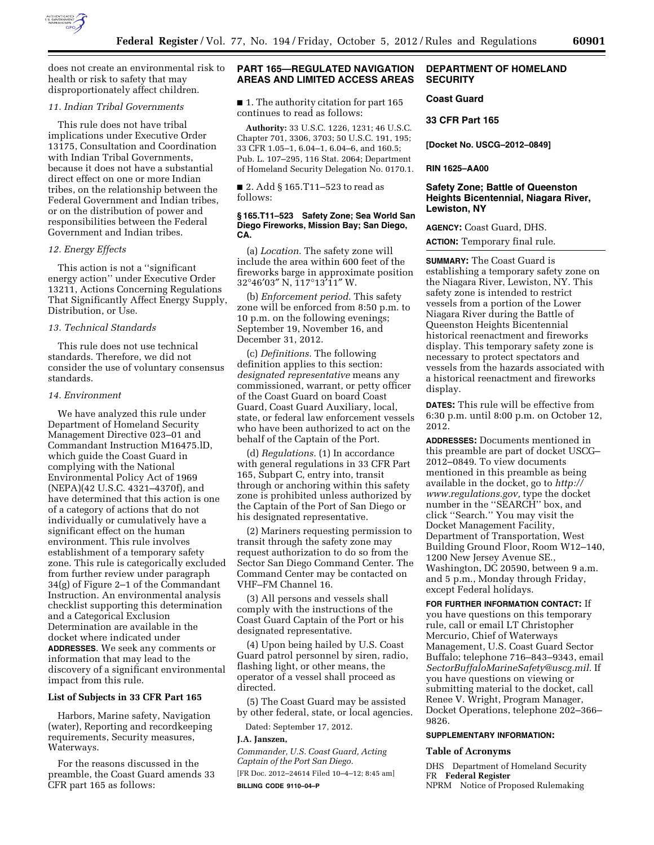

does not create an environmental risk to health or risk to safety that may disproportionately affect children.

## *11. Indian Tribal Governments*

This rule does not have tribal implications under Executive Order 13175, Consultation and Coordination with Indian Tribal Governments, because it does not have a substantial direct effect on one or more Indian tribes, on the relationship between the Federal Government and Indian tribes, or on the distribution of power and responsibilities between the Federal Government and Indian tribes.

## *12. Energy Effects*

This action is not a ''significant energy action'' under Executive Order 13211, Actions Concerning Regulations That Significantly Affect Energy Supply, Distribution, or Use.

## *13. Technical Standards*

This rule does not use technical standards. Therefore, we did not consider the use of voluntary consensus standards.

## *14. Environment*

We have analyzed this rule under Department of Homeland Security Management Directive 023–01 and Commandant Instruction M16475.lD, which guide the Coast Guard in complying with the National Environmental Policy Act of 1969 (NEPA)(42 U.S.C. 4321–4370f), and have determined that this action is one of a category of actions that do not individually or cumulatively have a significant effect on the human environment. This rule involves establishment of a temporary safety zone. This rule is categorically excluded from further review under paragraph 34(g) of Figure 2–1 of the Commandant Instruction. An environmental analysis checklist supporting this determination and a Categorical Exclusion Determination are available in the docket where indicated under **ADDRESSES**. We seek any comments or information that may lead to the discovery of a significant environmental impact from this rule.

# **List of Subjects in 33 CFR Part 165**

Harbors, Marine safety, Navigation (water), Reporting and recordkeeping requirements, Security measures, Waterways.

For the reasons discussed in the preamble, the Coast Guard amends 33 CFR part 165 as follows:

## **PART 165—REGULATED NAVIGATION AREAS AND LIMITED ACCESS AREAS**

■ 1. The authority citation for part 165 continues to read as follows:

**Authority:** 33 U.S.C. 1226, 1231; 46 U.S.C. Chapter 701, 3306, 3703; 50 U.S.C. 191, 195; 33 CFR 1.05–1, 6.04–1, 6.04–6, and 160.5; Pub. L. 107–295, 116 Stat. 2064; Department of Homeland Security Delegation No. 0170.1.

■ 2. Add § 165.T11–523 to read as follows:

#### **§ 165.T11–523 Safety Zone; Sea World San Diego Fireworks, Mission Bay; San Diego, CA.**

(a) *Location.* The safety zone will include the area within 600 feet of the fireworks barge in approximate position 32°46′03″ N, 117°13′11″ W.

(b) *Enforcement period.* This safety zone will be enforced from 8:50 p.m. to 10 p.m. on the following evenings; September 19, November 16, and December 31, 2012.

(c) *Definitions.* The following definition applies to this section: *designated representative* means any commissioned, warrant, or petty officer of the Coast Guard on board Coast Guard, Coast Guard Auxiliary, local, state, or federal law enforcement vessels who have been authorized to act on the behalf of the Captain of the Port.

(d) *Regulations.* (1) In accordance with general regulations in 33 CFR Part 165, Subpart C, entry into, transit through or anchoring within this safety zone is prohibited unless authorized by the Captain of the Port of San Diego or his designated representative.

(2) Mariners requesting permission to transit through the safety zone may request authorization to do so from the Sector San Diego Command Center. The Command Center may be contacted on VHF–FM Channel 16.

(3) All persons and vessels shall comply with the instructions of the Coast Guard Captain of the Port or his designated representative.

(4) Upon being hailed by U.S. Coast Guard patrol personnel by siren, radio, flashing light, or other means, the operator of a vessel shall proceed as directed.

(5) The Coast Guard may be assisted by other federal, state, or local agencies.

Dated: September 17, 2012.

#### **J.A. Janszen,**

*Commander, U.S. Coast Guard, Acting Captain of the Port San Diego.*  [FR Doc. 2012–24614 Filed 10–4–12; 8:45 am] **BILLING CODE 9110–04–P** 

# **DEPARTMENT OF HOMELAND SECURITY**

# **Coast Guard**

## **33 CFR Part 165**

**[Docket No. USCG–2012–0849]** 

#### **RIN 1625–AA00**

# **Safety Zone; Battle of Queenston Heights Bicentennial, Niagara River, Lewiston, NY**

**AGENCY:** Coast Guard, DHS.

**ACTION:** Temporary final rule.

**SUMMARY:** The Coast Guard is establishing a temporary safety zone on the Niagara River, Lewiston, NY. This safety zone is intended to restrict vessels from a portion of the Lower Niagara River during the Battle of Queenston Heights Bicentennial historical reenactment and fireworks display. This temporary safety zone is necessary to protect spectators and vessels from the hazards associated with a historical reenactment and fireworks display.

**DATES:** This rule will be effective from 6:30 p.m. until 8:00 p.m. on October 12, 2012.

**ADDRESSES:** Documents mentioned in this preamble are part of docket USCG– 2012–0849. To view documents mentioned in this preamble as being available in the docket, go to *[http://](http://www.regulations.gov) [www.regulations.gov,](http://www.regulations.gov)* type the docket number in the ''SEARCH'' box, and click ''Search.'' You may visit the Docket Management Facility, Department of Transportation, West Building Ground Floor, Room W12–140, 1200 New Jersey Avenue SE., Washington, DC 20590, between 9 a.m. and 5 p.m., Monday through Friday, except Federal holidays.

**FOR FURTHER INFORMATION CONTACT:** If you have questions on this temporary rule, call or email LT Christopher Mercurio, Chief of Waterways Management, U.S. Coast Guard Sector Buffalo; telephone 716–843–9343, email *[SectorBuffaloMarineSafety@uscg.mil.](mailto:SectorBuffaloMarineSafety@uscg.mil)* If you have questions on viewing or submitting material to the docket, call Renee V. Wright, Program Manager, Docket Operations, telephone 202–366– 9826.

## **SUPPLEMENTARY INFORMATION:**

### **Table of Acronyms**

DHS Department of Homeland Security FR **Federal Register**  NPRM Notice of Proposed Rulemaking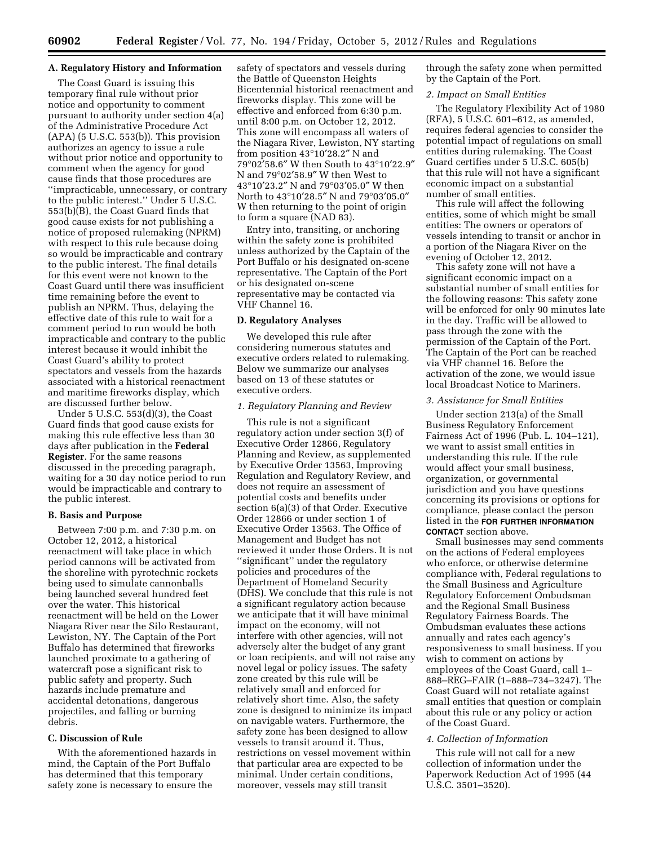## **A. Regulatory History and Information**

The Coast Guard is issuing this temporary final rule without prior notice and opportunity to comment pursuant to authority under section 4(a) of the Administrative Procedure Act  $(APA)$  (5 U.S.C. 553(b)). This provision authorizes an agency to issue a rule without prior notice and opportunity to comment when the agency for good cause finds that those procedures are ''impracticable, unnecessary, or contrary to the public interest.'' Under 5 U.S.C.  $553(b)$ <sup>[B]</sup>, the Coast Guard finds that good cause exists for not publishing a notice of proposed rulemaking (NPRM) with respect to this rule because doing so would be impracticable and contrary to the public interest. The final details for this event were not known to the Coast Guard until there was insufficient time remaining before the event to publish an NPRM. Thus, delaying the effective date of this rule to wait for a comment period to run would be both impracticable and contrary to the public interest because it would inhibit the Coast Guard's ability to protect spectators and vessels from the hazards associated with a historical reenactment and maritime fireworks display, which are discussed further below.

Under 5 U.S.C. 553(d)(3), the Coast Guard finds that good cause exists for making this rule effective less than 30 days after publication in the **Federal Register**. For the same reasons discussed in the preceding paragraph, waiting for a 30 day notice period to run would be impracticable and contrary to the public interest.

### **B. Basis and Purpose**

Between 7:00 p.m. and 7:30 p.m. on October 12, 2012, a historical reenactment will take place in which period cannons will be activated from the shoreline with pyrotechnic rockets being used to simulate cannonballs being launched several hundred feet over the water. This historical reenactment will be held on the Lower Niagara River near the Silo Restaurant, Lewiston, NY. The Captain of the Port Buffalo has determined that fireworks launched proximate to a gathering of watercraft pose a significant risk to public safety and property. Such hazards include premature and accidental detonations, dangerous projectiles, and falling or burning debris.

# **C. Discussion of Rule**

With the aforementioned hazards in mind, the Captain of the Port Buffalo has determined that this temporary safety zone is necessary to ensure the

safety of spectators and vessels during the Battle of Queenston Heights Bicentennial historical reenactment and fireworks display. This zone will be effective and enforced from 6:30 p.m. until 8:00 p.m. on October 12, 2012. This zone will encompass all waters of the Niagara River, Lewiston, NY starting from position 43°10′28.2″ N and 79°02′58.6″ W then South to 43°10′22.9″ N and 79°02′58.9″ W then West to 43°10′23.2″ N and 79°03′05.0″ W then North to 43°10′28.5″ N and 79°03′05.0″ W then returning to the point of origin to form a square (NAD 83).

Entry into, transiting, or anchoring within the safety zone is prohibited unless authorized by the Captain of the Port Buffalo or his designated on-scene representative. The Captain of the Port or his designated on-scene representative may be contacted via VHF Channel 16.

#### **D. Regulatory Analyses**

We developed this rule after considering numerous statutes and executive orders related to rulemaking. Below we summarize our analyses based on 13 of these statutes or executive orders.

## *1. Regulatory Planning and Review*

This rule is not a significant regulatory action under section 3(f) of Executive Order 12866, Regulatory Planning and Review, as supplemented by Executive Order 13563, Improving Regulation and Regulatory Review, and does not require an assessment of potential costs and benefits under section 6(a)(3) of that Order. Executive Order 12866 or under section 1 of Executive Order 13563. The Office of Management and Budget has not reviewed it under those Orders. It is not ''significant'' under the regulatory policies and procedures of the Department of Homeland Security (DHS). We conclude that this rule is not a significant regulatory action because we anticipate that it will have minimal impact on the economy, will not interfere with other agencies, will not adversely alter the budget of any grant or loan recipients, and will not raise any novel legal or policy issues. The safety zone created by this rule will be relatively small and enforced for relatively short time. Also, the safety zone is designed to minimize its impact on navigable waters. Furthermore, the safety zone has been designed to allow vessels to transit around it. Thus, restrictions on vessel movement within that particular area are expected to be minimal. Under certain conditions, moreover, vessels may still transit

through the safety zone when permitted by the Captain of the Port.

#### *2. Impact on Small Entities*

The Regulatory Flexibility Act of 1980 (RFA), 5 U.S.C. 601–612, as amended, requires federal agencies to consider the potential impact of regulations on small entities during rulemaking. The Coast Guard certifies under 5 U.S.C. 605(b) that this rule will not have a significant economic impact on a substantial number of small entities.

This rule will affect the following entities, some of which might be small entities: The owners or operators of vessels intending to transit or anchor in a portion of the Niagara River on the evening of October 12, 2012.

This safety zone will not have a significant economic impact on a substantial number of small entities for the following reasons: This safety zone will be enforced for only 90 minutes late in the day. Traffic will be allowed to pass through the zone with the permission of the Captain of the Port. The Captain of the Port can be reached via VHF channel 16. Before the activation of the zone, we would issue local Broadcast Notice to Mariners.

## *3. Assistance for Small Entities*

Under section 213(a) of the Small Business Regulatory Enforcement Fairness Act of 1996 (Pub. L. 104–121), we want to assist small entities in understanding this rule. If the rule would affect your small business, organization, or governmental jurisdiction and you have questions concerning its provisions or options for compliance, please contact the person listed in the **FOR FURTHER INFORMATION CONTACT** section above.

Small businesses may send comments on the actions of Federal employees who enforce, or otherwise determine compliance with, Federal regulations to the Small Business and Agriculture Regulatory Enforcement Ombudsman and the Regional Small Business Regulatory Fairness Boards. The Ombudsman evaluates these actions annually and rates each agency's responsiveness to small business. If you wish to comment on actions by employees of the Coast Guard, call 1– 888–REG–FAIR (1–888–734–3247). The Coast Guard will not retaliate against small entities that question or complain about this rule or any policy or action of the Coast Guard.

#### *4. Collection of Information*

This rule will not call for a new collection of information under the Paperwork Reduction Act of 1995 (44 U.S.C. 3501–3520).